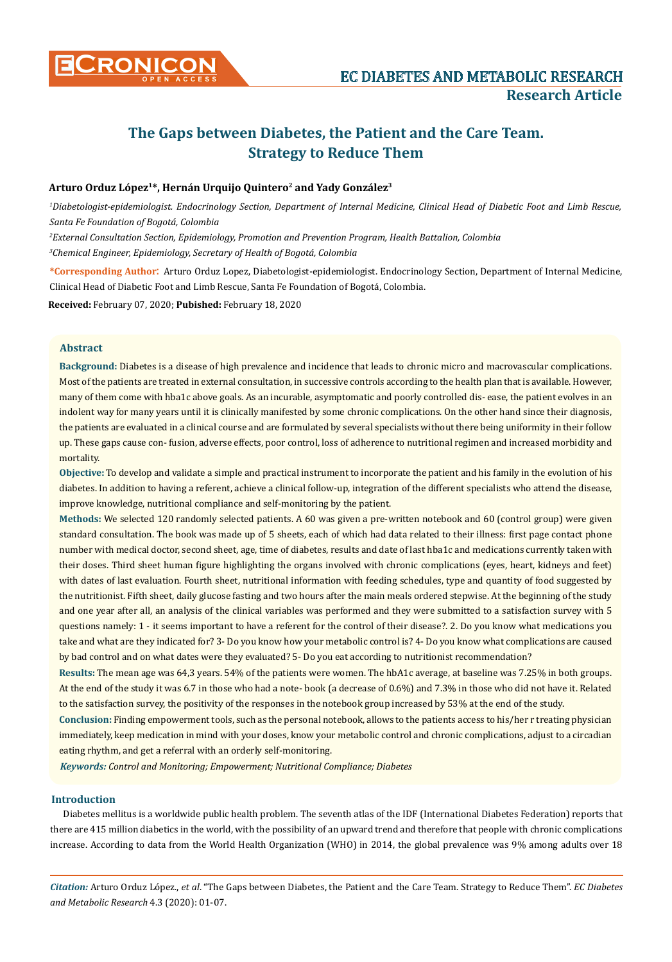

# **The Gaps between Diabetes, the Patient and the Care Team. Strategy to Reduce Them**

# **Arturo Orduz López1\*, Hernán Urquijo Quintero2 and Yady González3**

*1 Diabetologist-epidemiologist. Endocrinology Section, Department of Internal Medicine, Clinical Head of Diabetic Foot and Limb Rescue, Santa Fe Foundation of Bogotá, Colombia*

*2 External Consultation Section, Epidemiology, Promotion and Prevention Program, Health Battalion, Colombia 3 Chemical Engineer, Epidemiology, Secretary of Health of Bogotá, Colombia*

**\*Corresponding Author**: Arturo Orduz Lopez, Diabetologist-epidemiologist. Endocrinology Section, Department of Internal Medicine, Clinical Head of Diabetic Foot and Limb Rescue, Santa Fe Foundation of Bogotá, Colombia.

**Received:** February 07, 2020; **Pubished:** February 18, 2020

## **Abstract**

**Background:** Diabetes is a disease of high prevalence and incidence that leads to chronic micro and macrovascular complications. Most of the patients are treated in external consultation, in successive controls according to the health plan that is available. However, many of them come with hba1c above goals. As an incurable, asymptomatic and poorly controlled dis- ease, the patient evolves in an indolent way for many years until it is clinically manifested by some chronic complications. On the other hand since their diagnosis, the patients are evaluated in a clinical course and are formulated by several specialists without there being uniformity in their follow up. These gaps cause con- fusion, adverse effects, poor control, loss of adherence to nutritional regimen and increased morbidity and mortality.

**Objective:** To develop and validate a simple and practical instrument to incorporate the patient and his family in the evolution of his diabetes. In addition to having a referent, achieve a clinical follow-up, integration of the different specialists who attend the disease, improve knowledge, nutritional compliance and self-monitoring by the patient.

**Methods:** We selected 120 randomly selected patients. A 60 was given a pre-written notebook and 60 (control group) were given standard consultation. The book was made up of 5 sheets, each of which had data related to their illness: first page contact phone number with medical doctor, second sheet, age, time of diabetes, results and date of last hba1c and medications currently taken with their doses. Third sheet human figure highlighting the organs involved with chronic complications (eyes, heart, kidneys and feet) with dates of last evaluation. Fourth sheet, nutritional information with feeding schedules, type and quantity of food suggested by the nutritionist. Fifth sheet, daily glucose fasting and two hours after the main meals ordered stepwise. At the beginning of the study and one year after all, an analysis of the clinical variables was performed and they were submitted to a satisfaction survey with 5 questions namely: 1 - it seems important to have a referent for the control of their disease?. 2. Do you know what medications you take and what are they indicated for? 3- Do you know how your metabolic control is? 4- Do you know what complications are caused by bad control and on what dates were they evaluated? 5- Do you eat according to nutritionist recommendation?

**Results:** The mean age was 64,3 years. 54% of the patients were women. The hbA1c average, at baseline was 7.25% in both groups. At the end of the study it was 6.7 in those who had a note- book (a decrease of 0.6%) and 7.3% in those who did not have it. Related to the satisfaction survey, the positivity of the responses in the notebook group increased by 53% at the end of the study.

**Conclusion:** Finding empowerment tools, such as the personal notebook, allows to the patients access to his/her r treating physician immediately, keep medication in mind with your doses, know your metabolic control and chronic complications, adjust to a circadian eating rhythm, and get a referral with an orderly self-monitoring.

*Keywords: Control and Monitoring; Empowerment; Nutritional Compliance; Diabetes*

# **Introduction**

Diabetes mellitus is a worldwide public health problem. The seventh atlas of the IDF (International Diabetes Federation) reports that there are 415 million diabetics in the world, with the possibility of an upward trend and therefore that people with chronic complications increase. According to data from the World Health Organization (WHO) in 2014, the global prevalence was 9% among adults over 18

*Citation:* Arturo Orduz López., *et al*. "The Gaps between Diabetes, the Patient and the Care Team. Strategy to Reduce Them". *EC Diabetes and Metabolic Research* 4.3 (2020): 01-07.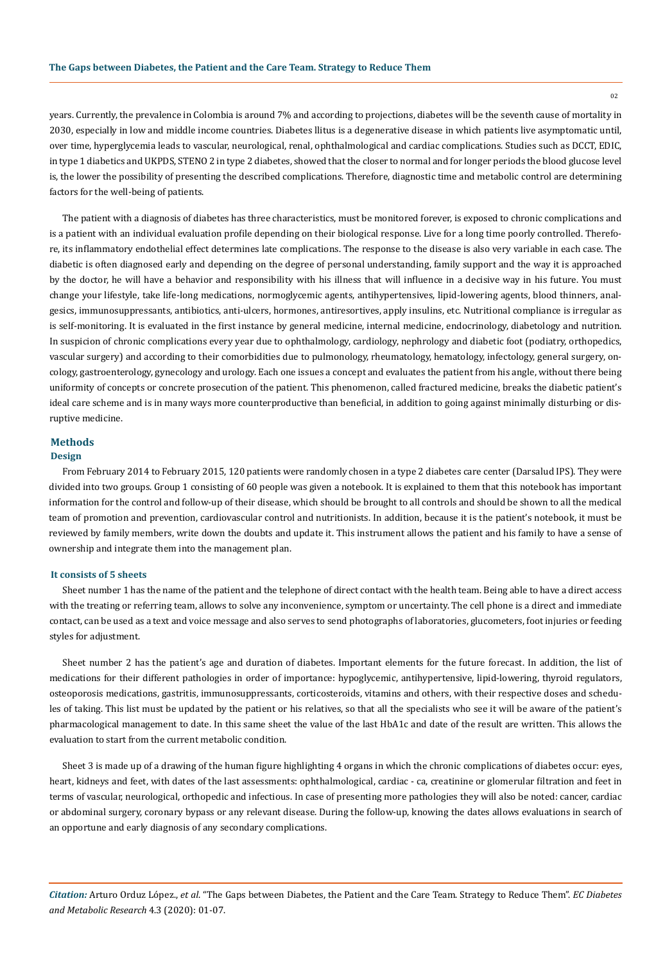02

years. Currently, the prevalence in Colombia is around 7% and according to projections, diabetes will be the seventh cause of mortality in 2030, especially in low and middle income countries. Diabetes llitus is a degenerative disease in which patients live asymptomatic until, over time, hyperglycemia leads to vascular, neurological, renal, ophthalmological and cardiac complications. Studies such as DCCT, EDIC, in type 1 diabetics and UKPDS, STENO 2 in type 2 diabetes, showed that the closer to normal and for longer periods the blood glucose level is, the lower the possibility of presenting the described complications. Therefore, diagnostic time and metabolic control are determining factors for the well-being of patients.

The patient with a diagnosis of diabetes has three characteristics, must be monitored forever, is exposed to chronic complications and is a patient with an individual evaluation profile depending on their biological response. Live for a long time poorly controlled. Therefore, its inflammatory endothelial effect determines late complications. The response to the disease is also very variable in each case. The diabetic is often diagnosed early and depending on the degree of personal understanding, family support and the way it is approached by the doctor, he will have a behavior and responsibility with his illness that will influence in a decisive way in his future. You must change your lifestyle, take life-long medications, normoglycemic agents, antihypertensives, lipid-lowering agents, blood thinners, analgesics, immunosuppressants, antibiotics, anti-ulcers, hormones, antiresortives, apply insulins, etc. Nutritional compliance is irregular as is self-monitoring. It is evaluated in the first instance by general medicine, internal medicine, endocrinology, diabetology and nutrition. In suspicion of chronic complications every year due to ophthalmology, cardiology, nephrology and diabetic foot (podiatry, orthopedics, vascular surgery) and according to their comorbidities due to pulmonology, rheumatology, hematology, infectology, general surgery, oncology, gastroenterology, gynecology and urology. Each one issues a concept and evaluates the patient from his angle, without there being uniformity of concepts or concrete prosecution of the patient. This phenomenon, called fractured medicine, breaks the diabetic patient's ideal care scheme and is in many ways more counterproductive than beneficial, in addition to going against minimally disturbing or disruptive medicine.

# **Methods**

# **Design**

From February 2014 to February 2015, 120 patients were randomly chosen in a type 2 diabetes care center (Darsalud IPS). They were divided into two groups. Group 1 consisting of 60 people was given a notebook. It is explained to them that this notebook has important information for the control and follow-up of their disease, which should be brought to all controls and should be shown to all the medical team of promotion and prevention, cardiovascular control and nutritionists. In addition, because it is the patient's notebook, it must be reviewed by family members, write down the doubts and update it. This instrument allows the patient and his family to have a sense of ownership and integrate them into the management plan.

## **It consists of 5 sheets**

Sheet number 1 has the name of the patient and the telephone of direct contact with the health team. Being able to have a direct access with the treating or referring team, allows to solve any inconvenience, symptom or uncertainty. The cell phone is a direct and immediate contact, can be used as a text and voice message and also serves to send photographs of laboratories, glucometers, foot injuries or feeding styles for adjustment.

Sheet number 2 has the patient's age and duration of diabetes. Important elements for the future forecast. In addition, the list of medications for their different pathologies in order of importance: hypoglycemic, antihypertensive, lipid-lowering, thyroid regulators, osteoporosis medications, gastritis, immunosuppressants, corticosteroids, vitamins and others, with their respective doses and schedules of taking. This list must be updated by the patient or his relatives, so that all the specialists who see it will be aware of the patient's pharmacological management to date. In this same sheet the value of the last HbA1c and date of the result are written. This allows the evaluation to start from the current metabolic condition.

Sheet 3 is made up of a drawing of the human figure highlighting 4 organs in which the chronic complications of diabetes occur: eyes, heart, kidneys and feet, with dates of the last assessments: ophthalmological, cardiac - ca, creatinine or glomerular filtration and feet in terms of vascular, neurological, orthopedic and infectious. In case of presenting more pathologies they will also be noted: cancer, cardiac or abdominal surgery, coronary bypass or any relevant disease. During the follow-up, knowing the dates allows evaluations in search of an opportune and early diagnosis of any secondary complications.

*Citation:* Arturo Orduz López., *et al*. "The Gaps between Diabetes, the Patient and the Care Team. Strategy to Reduce Them". *EC Diabetes and Metabolic Research* 4.3 (2020): 01-07.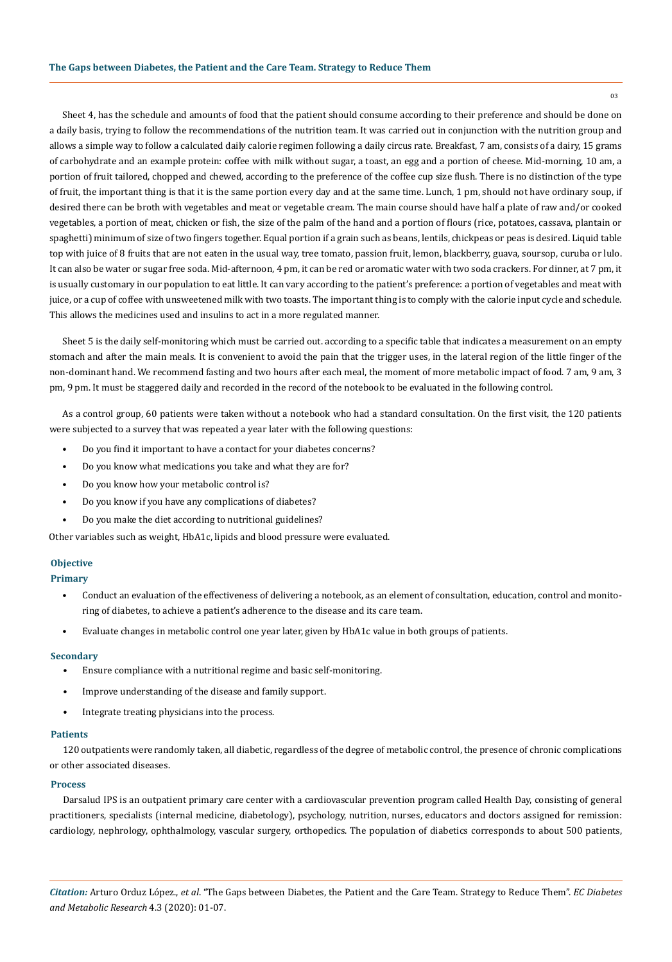Sheet 4, has the schedule and amounts of food that the patient should consume according to their preference and should be done on a daily basis, trying to follow the recommendations of the nutrition team. It was carried out in conjunction with the nutrition group and allows a simple way to follow a calculated daily calorie regimen following a daily circus rate. Breakfast, 7 am, consists of a dairy, 15 grams of carbohydrate and an example protein: coffee with milk without sugar, a toast, an egg and a portion of cheese. Mid-morning, 10 am, a portion of fruit tailored, chopped and chewed, according to the preference of the coffee cup size flush. There is no distinction of the type of fruit, the important thing is that it is the same portion every day and at the same time. Lunch, 1 pm, should not have ordinary soup, if desired there can be broth with vegetables and meat or vegetable cream. The main course should have half a plate of raw and/or cooked vegetables, a portion of meat, chicken or fish, the size of the palm of the hand and a portion of flours (rice, potatoes, cassava, plantain or spaghetti) minimum of size of two fingers together. Equal portion if a grain such as beans, lentils, chickpeas or peas is desired. Liquid table top with juice of 8 fruits that are not eaten in the usual way, tree tomato, passion fruit, lemon, blackberry, guava, soursop, curuba or lulo. It can also be water or sugar free soda. Mid-afternoon, 4 pm, it can be red or aromatic water with two soda crackers. For dinner, at 7 pm, it is usually customary in our population to eat little. It can vary according to the patient's preference: a portion of vegetables and meat with juice, or a cup of coffee with unsweetened milk with two toasts. The important thing is to comply with the calorie input cycle and schedule. This allows the medicines used and insulins to act in a more regulated manner.

Sheet 5 is the daily self-monitoring which must be carried out. according to a specific table that indicates a measurement on an empty stomach and after the main meals. It is convenient to avoid the pain that the trigger uses, in the lateral region of the little finger of the non-dominant hand. We recommend fasting and two hours after each meal, the moment of more metabolic impact of food. 7 am, 9 am, 3 pm, 9 pm. It must be staggered daily and recorded in the record of the notebook to be evaluated in the following control.

As a control group, 60 patients were taken without a notebook who had a standard consultation. On the first visit, the 120 patients were subjected to a survey that was repeated a year later with the following questions:

- Do you find it important to have a contact for your diabetes concerns?
- Do you know what medications you take and what they are for?
- Do you know how your metabolic control is?
- Do you know if you have any complications of diabetes?
- Do you make the diet according to nutritional guidelines?

Other variables such as weight, HbA1c, lipids and blood pressure were evaluated.

# **Objective**

## **Primary**

- Conduct an evaluation of the effectiveness of delivering a notebook, as an element of consultation, education, control and monitoring of diabetes, to achieve a patient's adherence to the disease and its care team.
- Evaluate changes in metabolic control one year later, given by HbA1c value in both groups of patients.

#### **Secondary**

- Ensure compliance with a nutritional regime and basic self-monitoring.
- Improve understanding of the disease and family support.
- Integrate treating physicians into the process.

### **Patients**

120 outpatients were randomly taken, all diabetic, regardless of the degree of metabolic control, the presence of chronic complications or other associated diseases.

#### **Process**

Darsalud IPS is an outpatient primary care center with a cardiovascular prevention program called Health Day, consisting of general practitioners, specialists (internal medicine, diabetology), psychology, nutrition, nurses, educators and doctors assigned for remission: cardiology, nephrology, ophthalmology, vascular surgery, orthopedics. The population of diabetics corresponds to about 500 patients,

*Citation:* Arturo Orduz López., *et al*. "The Gaps between Diabetes, the Patient and the Care Team. Strategy to Reduce Them". *EC Diabetes and Metabolic Research* 4.3 (2020): 01-07.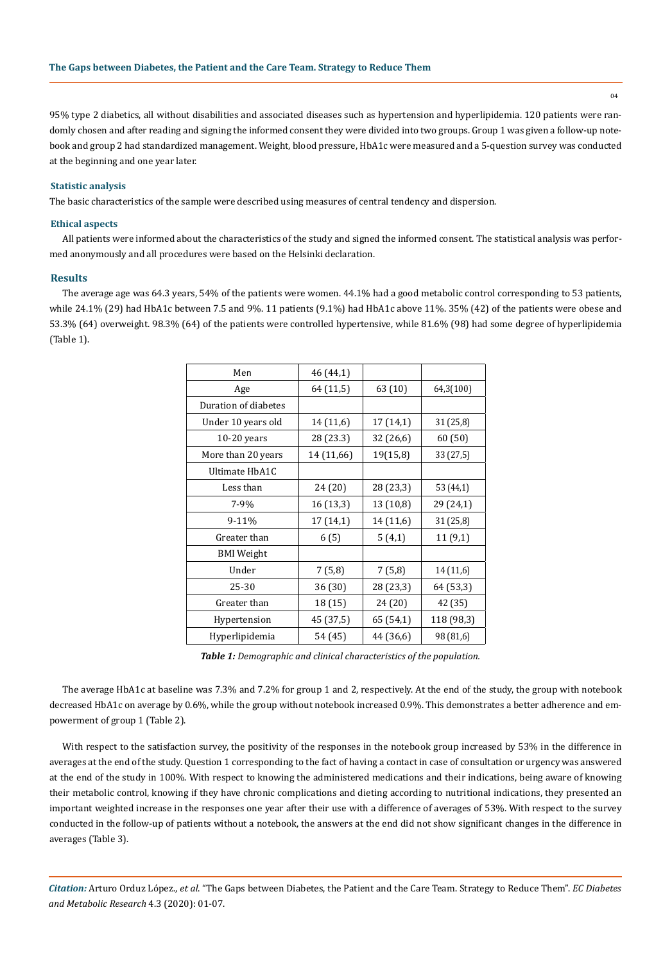04

95% type 2 diabetics, all without disabilities and associated diseases such as hypertension and hyperlipidemia. 120 patients were randomly chosen and after reading and signing the informed consent they were divided into two groups. Group 1 was given a follow-up notebook and group 2 had standardized management. Weight, blood pressure, HbA1c were measured and a 5-question survey was conducted at the beginning and one year later.

### **Statistic analysis**

The basic characteristics of the sample were described using measures of central tendency and dispersion.

#### **Ethical aspects**

All patients were informed about the characteristics of the study and signed the informed consent. The statistical analysis was performed anonymously and all procedures were based on the Helsinki declaration.

#### **Results**

The average age was 64.3 years, 54% of the patients were women. 44.1% had a good metabolic control corresponding to 53 patients, while 24.1% (29) had HbA1c between 7.5 and 9%. 11 patients (9.1%) had HbA1c above 11%. 35% (42) of the patients were obese and 53.3% (64) overweight. 98.3% (64) of the patients were controlled hypertensive, while 81.6% (98) had some degree of hyperlipidemia (Table 1).

| Men                  | 46 (44,1)  |           |            |
|----------------------|------------|-----------|------------|
| Age                  | 64 (11,5)  | 63 (10)   | 64,3(100)  |
| Duration of diabetes |            |           |            |
| Under 10 years old   | 14 (11,6)  | 17 (14,1) | 31 (25,8)  |
| $10-20$ years        | 28 (23.3)  | 32 (26,6) | 60 (50)    |
| More than 20 years   | 14 (11,66) | 19(15,8)  | 33 (27,5)  |
| Ultimate HbA1C       |            |           |            |
| Less than            | 24 (20)    | 28 (23,3) | 53 (44,1)  |
| $7 - 9%$             | 16 (13,3)  | 13 (10,8) | 29 (24,1)  |
| 9-11%                | 17 (14,1)  | 14 (11,6) | 31 (25,8)  |
| Greater than         | 6(5)       | 5(4,1)    | 11(9,1)    |
| <b>BMI</b> Weight    |            |           |            |
| Under                | 7(5,8)     | 7(5,8)    | 14 (11,6)  |
| 25-30                | 36 (30)    | 28 (23,3) | 64 (53,3)  |
| Greater than         | 18 (15)    | 24 (20)   | 42 (35)    |
| Hypertension         | 45 (37,5)  | 65 (54,1) | 118 (98,3) |
| Hyperlipidemia       | 54 (45)    | 44 (36,6) | 98 (81,6)  |

*Table 1: Demographic and clinical characteristics of the population.*

The average HbA1c at baseline was 7.3% and 7.2% for group 1 and 2, respectively. At the end of the study, the group with notebook decreased HbA1c on average by 0.6%, while the group without notebook increased 0.9%. This demonstrates a better adherence and empowerment of group 1 (Table 2).

With respect to the satisfaction survey, the positivity of the responses in the notebook group increased by 53% in the difference in averages at the end of the study. Question 1 corresponding to the fact of having a contact in case of consultation or urgency was answered at the end of the study in 100%. With respect to knowing the administered medications and their indications, being aware of knowing their metabolic control, knowing if they have chronic complications and dieting according to nutritional indications, they presented an important weighted increase in the responses one year after their use with a difference of averages of 53%. With respect to the survey conducted in the follow-up of patients without a notebook, the answers at the end did not show significant changes in the difference in averages (Table 3).

*Citation:* Arturo Orduz López., *et al*. "The Gaps between Diabetes, the Patient and the Care Team. Strategy to Reduce Them". *EC Diabetes and Metabolic Research* 4.3 (2020): 01-07.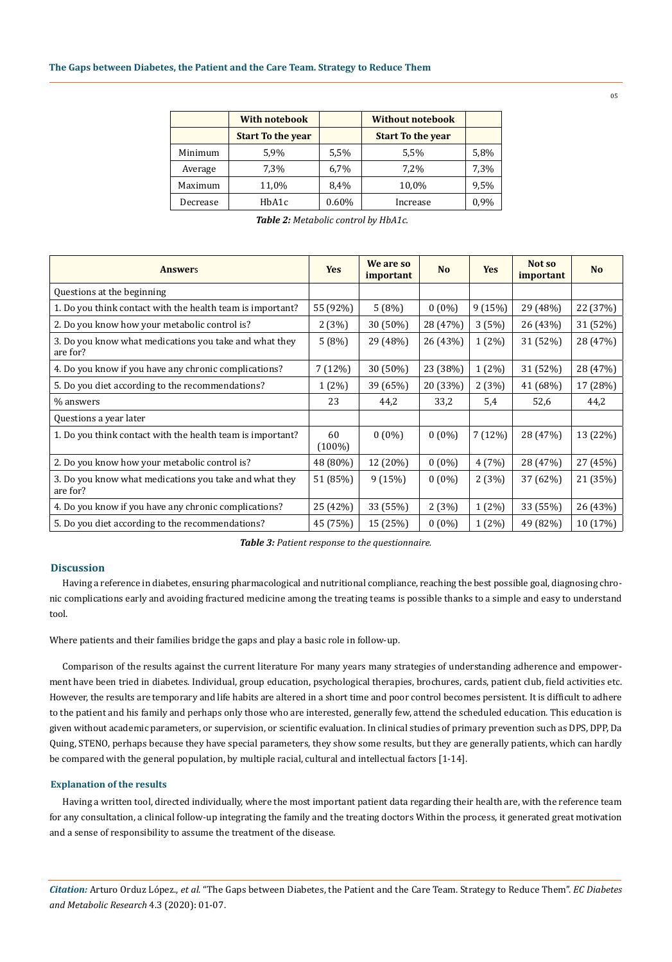|          | <b>With notebook</b>     | <b>Without notebook</b> |                          |      |
|----------|--------------------------|-------------------------|--------------------------|------|
|          | <b>Start To the year</b> |                         | <b>Start To the year</b> |      |
| Minimum  | 5,9%                     | 5,5%                    | 5,5%                     | 5,8% |
| Average  | 7,3%                     | 6,7%                    | 7,2%                     | 7,3% |
| Maximum  | 11,0%                    | 8,4%                    | 10,0%                    | 9,5% |
| Decrease | HbA1c                    | $0.60\%$                | Increase                 | 0.9% |

| <b>Table 2:</b> Metabolic control by HbA1c. |  |  |
|---------------------------------------------|--|--|
|---------------------------------------------|--|--|

| <b>Answers</b>                                                     | <b>Yes</b>      | We are so<br>important | <b>No</b> | <b>Yes</b> | Not so<br>important | N <sub>o</sub> |
|--------------------------------------------------------------------|-----------------|------------------------|-----------|------------|---------------------|----------------|
| Questions at the beginning                                         |                 |                        |           |            |                     |                |
| 1. Do you think contact with the health team is important?         | 55 (92%)        | 5(8%)                  | $0(0\%)$  | 9(15%)     | 29 (48%)            | 22 (37%)       |
| 2. Do you know how your metabolic control is?                      | 2(3%)           | 30 (50%)               | 28 (47%)  | 3(5%)      | 26 (43%)            | 31 (52%)       |
| 3. Do you know what medications you take and what they<br>are for? | 5(8%)           | 29 (48%)               | 26 (43%)  | $1(2\%)$   | 31 (52%)            | 28 (47%)       |
| 4. Do you know if you have any chronic complications?              | 7(12%)          | 30 (50%)               | 23 (38%)  | $1(2\%)$   | 31 (52%)            | 28 (47%)       |
| 5. Do you diet according to the recommendations?                   | $1(2\%)$        | 39 (65%)               | 20 (33%)  | 2(3%)      | 41 (68%)            | 17 (28%)       |
| % answers                                                          | 23              | 44,2                   | 33,2      | 5,4        | 52,6                | 44,2           |
| Questions a year later                                             |                 |                        |           |            |                     |                |
| 1. Do you think contact with the health team is important?         | 60<br>$(100\%)$ | $0(0\%)$               | $0(0\%)$  | 7(12%)     | 28 (47%)            | 13 (22%)       |
| 2. Do you know how your metabolic control is?                      | 48 (80%)        | 12 (20%)               | $0(0\%)$  | 4(7%)      | 28 (47%)            | 27 (45%)       |
| 3. Do you know what medications you take and what they<br>are for? | 51 (85%)        | 9(15%)                 | $0(0\%)$  | 2(3%)      | 37 (62%)            | 21 (35%)       |
| 4. Do you know if you have any chronic complications?              | 25 (42%)        | 33 (55%)               | 2(3%)     | $1(2\%)$   | 33 (55%)            | 26 (43%)       |
| 5. Do you diet according to the recommendations?                   | 45 (75%)        | 15 (25%)               | $0(0\%)$  | $1(2\%)$   | 49 (82%)            | 10 (17%)       |

*Table 3: Patient response to the questionnaire.*

## **Discussion**

Having a reference in diabetes, ensuring pharmacological and nutritional compliance, reaching the best possible goal, diagnosing chronic complications early and avoiding fractured medicine among the treating teams is possible thanks to a simple and easy to understand tool.

Where patients and their families bridge the gaps and play a basic role in follow-up.

Comparison of the results against the current literature For many years many strategies of understanding adherence and empowerment have been tried in diabetes. Individual, group education, psychological therapies, brochures, cards, patient club, field activities etc. However, the results are temporary and life habits are altered in a short time and poor control becomes persistent. It is difficult to adhere to the patient and his family and perhaps only those who are interested, generally few, attend the scheduled education. This education is given without academic parameters, or supervision, or scientific evaluation. In clinical studies of primary prevention such as DPS, DPP, Da Quing, STENO, perhaps because they have special parameters, they show some results, but they are generally patients, which can hardly be compared with the general population, by multiple racial, cultural and intellectual factors [1-14].

#### **Explanation of the results**

Having a written tool, directed individually, where the most important patient data regarding their health are, with the reference team for any consultation, a clinical follow-up integrating the family and the treating doctors Within the process, it generated great motivation and a sense of responsibility to assume the treatment of the disease.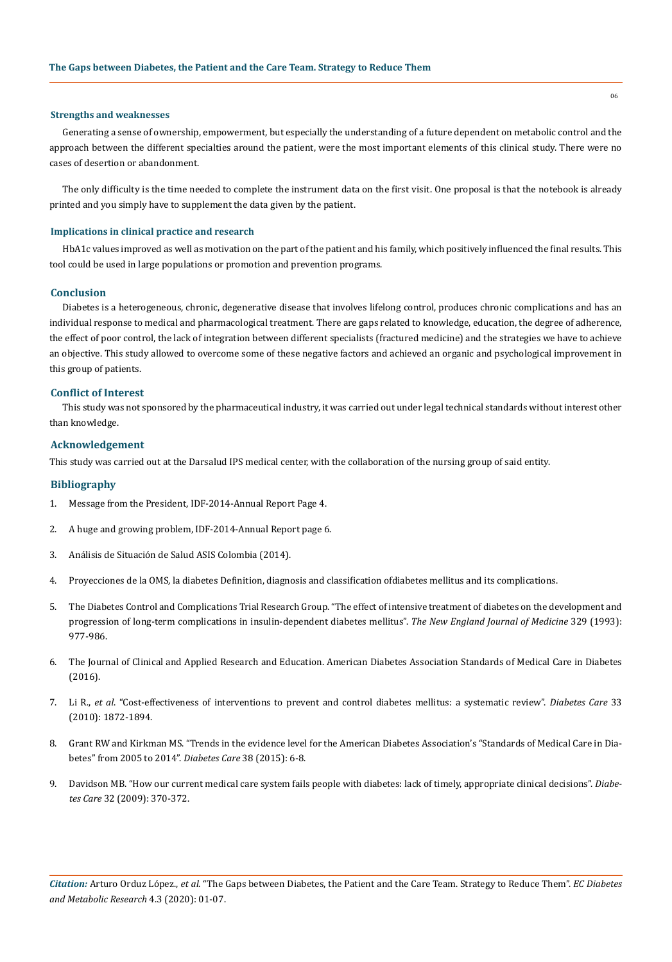#### **Strengths and weaknesses**

Generating a sense of ownership, empowerment, but especially the understanding of a future dependent on metabolic control and the approach between the different specialties around the patient, were the most important elements of this clinical study. There were no cases of desertion or abandonment.

The only difficulty is the time needed to complete the instrument data on the first visit. One proposal is that the notebook is already printed and you simply have to supplement the data given by the patient.

## **Implications in clinical practice and research**

HbA1c values improved as well as motivation on the part of the patient and his family, which positively influenced the final results. This tool could be used in large populations or promotion and prevention programs.

## **Conclusion**

Diabetes is a heterogeneous, chronic, degenerative disease that involves lifelong control, produces chronic complications and has an individual response to medical and pharmacological treatment. There are gaps related to knowledge, education, the degree of adherence, the effect of poor control, the lack of integration between different specialists (fractured medicine) and the strategies we have to achieve an objective. This study allowed to overcome some of these negative factors and achieved an organic and psychological improvement in this group of patients.

#### **Conflict of Interest**

This study was not sponsored by the pharmaceutical industry, it was carried out under legal technical standards without interest other than knowledge.

## **Acknowledgement**

This study was carried out at the Darsalud IPS medical center, with the collaboration of the nursing group of said entity.

## **Bibliography**

- 1. Message from the President, IDF-2014-Annual Report Page 4.
- 2. A huge and growing problem, IDF-2014-Annual Report page 6.
- 3. Análisis de Situación de Salud ASIS Colombia (2014).
- 4. Proyecciones de la OMS, la diabetes Definition, diagnosis and classification ofdiabetes mellitus and its complications.
- 5. [The Diabetes Control and Complications Trial Research Group. "The effect of intensive treatment of diabetes on the development and](https://www.ncbi.nlm.nih.gov/pubmed/8366922) [progression of long-term complications in insulin-dependent diabetes mellitus".](https://www.ncbi.nlm.nih.gov/pubmed/8366922) *The New England Journal of Medicine* 329 (1993): [977-986.](https://www.ncbi.nlm.nih.gov/pubmed/8366922)
- 6. The Journal of Clinical and Applied Research and Education. American Diabetes Association Standards of Medical Care in Diabetes (2016).
- 7. Li R., *et al*[. "Cost-effectiveness of interventions to prevent and control diabetes mellitus: a systematic review".](https://www.ncbi.nlm.nih.gov/pubmed/20668156) *Diabetes Care* 33 [\(2010\): 1872-1894.](https://www.ncbi.nlm.nih.gov/pubmed/20668156)
- 8. [Grant RW and Kirkman MS. "Trends in the evidence level for the American Diabetes Association's "Standards of Medical Care in Dia](https://care.diabetesjournals.org/content/38/1/6)[betes" from 2005 to 2014".](https://care.diabetesjournals.org/content/38/1/6) *Diabetes Care* 38 (2015): 6-8.
- 9. [Davidson MB. "How our current medical care system fails people with diabetes: lack of timely, appropriate clinical decisions".](https://care.diabetesjournals.org/content/32/2/370) *Diabetes Care* [32 \(2009\): 370-372.](https://care.diabetesjournals.org/content/32/2/370)